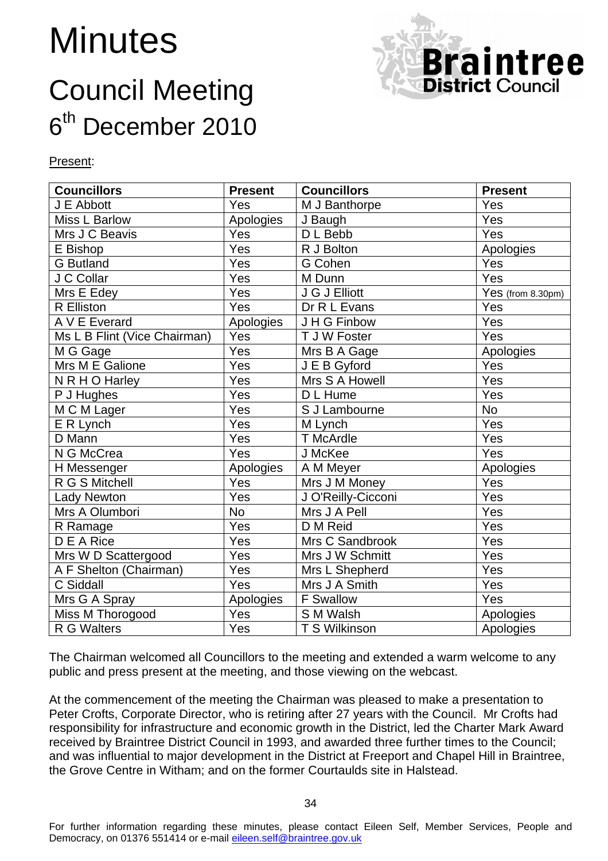# **Minutes**

# Council Meeting 6<sup>th</sup> December 2010



Present:

| <b>Councillors</b>           | <b>Present</b> | <b>Councillors</b> | <b>Present</b>    |
|------------------------------|----------------|--------------------|-------------------|
| J E Abbott                   | Yes            | M J Banthorpe      | Yes               |
| Miss L Barlow                | Apologies      | J Baugh            | Yes               |
| Mrs J C Beavis               | Yes            | D L Bebb           | Yes               |
| E Bishop                     | Yes            | R J Bolton         | Apologies         |
| <b>G</b> Butland             | Yes            | G Cohen            | Yes               |
| J C Collar                   | Yes            | M Dunn             | Yes               |
| Mrs E Edey                   | Yes            | J G J Elliott      | Yes (from 8.30pm) |
| $\overline{R}$ Elliston      | Yes            | Dr R L Evans       | Yes               |
| A V E Everard                | Apologies      | J H G Finbow       | Yes               |
| Ms L B Flint (Vice Chairman) | Yes            | T J W Foster       | Yes               |
| M G Gage                     | Yes            | Mrs B A Gage       | Apologies         |
| Mrs M E Galione              | Yes            | J E B Gyford       | Yes               |
| N R H O Harley               | Yes            | Mrs S A Howell     | Yes               |
| P J Hughes                   | Yes            | D L Hume           | Yes               |
| M C M Lager                  | Yes            | S J Lambourne      | <b>No</b>         |
| E R Lynch                    | Yes            | M Lynch            | Yes               |
| D Mann                       | Yes            | <b>T</b> McArdle   | Yes               |
| N G McCrea                   | Yes            | J McKee            | Yes               |
| H Messenger                  | Apologies      | A M Meyer          | Apologies         |
| R G S Mitchell               | Yes            | Mrs J M Money      | Yes               |
| <b>Lady Newton</b>           | Yes            | J O'Reilly-Cicconi | Yes               |
| Mrs A Olumbori               | <b>No</b>      | Mrs J A Pell       | Yes               |
| R Ramage                     | Yes            | D M Reid           | Yes               |
| D E A Rice                   | Yes            | Mrs C Sandbrook    | Yes               |
| Mrs W D Scattergood          | Yes            | Mrs J W Schmitt    | Yes               |
| A F Shelton (Chairman)       | Yes            | Mrs L Shepherd     | Yes               |
| C Siddall                    | Yes            | Mrs J A Smith      | Yes               |
| Mrs G A Spray                | Apologies      | F Swallow          | Yes               |
| Miss M Thorogood             | Yes            | S M Walsh          | Apologies         |
| R G Walters                  | Yes            | T S Wilkinson      | Apologies         |

The Chairman welcomed all Councillors to the meeting and extended a warm welcome to any public and press present at the meeting, and those viewing on the webcast.

At the commencement of the meeting the Chairman was pleased to make a presentation to Peter Crofts, Corporate Director, who is retiring after 27 years with the Council. Mr Crofts had responsibility for infrastructure and economic growth in the District, led the Charter Mark Award received by Braintree District Council in 1993, and awarded three further times to the Council; and was influential to major development in the District at Freeport and Chapel Hill in Braintree, the Grove Centre in Witham; and on the former Courtaulds site in Halstead.

For further information regarding these minutes, please contact Eileen Self, Member Services, People and Democracy, on 01376 551414 or e-mail *eileen.self@braintree.gov.uk*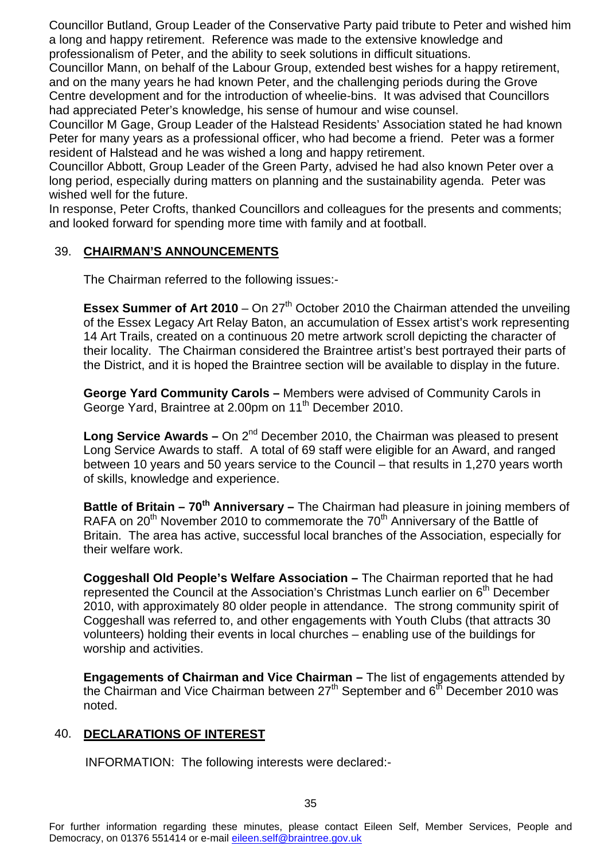Councillor Butland, Group Leader of the Conservative Party paid tribute to Peter and wished him a long and happy retirement. Reference was made to the extensive knowledge and professionalism of Peter, and the ability to seek solutions in difficult situations.

Councillor Mann, on behalf of the Labour Group, extended best wishes for a happy retirement, and on the many years he had known Peter, and the challenging periods during the Grove Centre development and for the introduction of wheelie-bins. It was advised that Councillors had appreciated Peter's knowledge, his sense of humour and wise counsel.

Councillor M Gage, Group Leader of the Halstead Residents' Association stated he had known Peter for many years as a professional officer, who had become a friend. Peter was a former resident of Halstead and he was wished a long and happy retirement.

Councillor Abbott, Group Leader of the Green Party, advised he had also known Peter over a long period, especially during matters on planning and the sustainability agenda. Peter was wished well for the future.

In response, Peter Crofts, thanked Councillors and colleagues for the presents and comments; and looked forward for spending more time with family and at football.

#### 39. **CHAIRMAN'S ANNOUNCEMENTS**

The Chairman referred to the following issues:-

**Essex Summer of Art 2010** – On 27<sup>th</sup> October 2010 the Chairman attended the unveiling of the Essex Legacy Art Relay Baton, an accumulation of Essex artist's work representing 14 Art Trails, created on a continuous 20 metre artwork scroll depicting the character of their locality. The Chairman considered the Braintree artist's best portrayed their parts of the District, and it is hoped the Braintree section will be available to display in the future.

**George Yard Community Carols –** Members were advised of Community Carols in George Yard, Braintree at 2.00pm on 11<sup>th</sup> December 2010.

**Long Service Awards – On 2<sup>nd</sup> December 2010, the Chairman was pleased to present** Long Service Awards to staff. A total of 69 staff were eligible for an Award, and ranged between 10 years and 50 years service to the Council – that results in 1,270 years worth of skills, knowledge and experience.

**Battle of Britain – 70th Anniversary –** The Chairman had pleasure in joining members of RAFA on 20<sup>th</sup> November 2010 to commemorate the  $70<sup>th</sup>$  Anniversary of the Battle of Britain. The area has active, successful local branches of the Association, especially for their welfare work.

**Coggeshall Old People's Welfare Association –** The Chairman reported that he had represented the Council at the Association's Christmas Lunch earlier on 6<sup>th</sup> December 2010, with approximately 80 older people in attendance. The strong community spirit of Coggeshall was referred to, and other engagements with Youth Clubs (that attracts 30 volunteers) holding their events in local churches – enabling use of the buildings for worship and activities.

**Engagements of Chairman and Vice Chairman –** The list of engagements attended by the Chairman and Vice Chairman between  $27<sup>th</sup>$  September and  $6<sup>th</sup>$  December 2010 was noted.

# 40. **DECLARATIONS OF INTEREST**

INFORMATION: The following interests were declared:-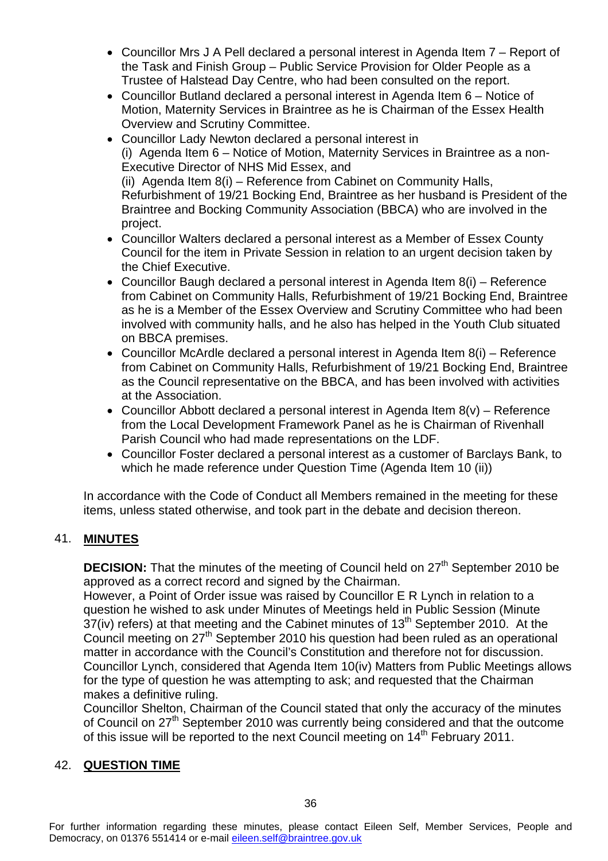- Councillor Mrs J A Pell declared a personal interest in Agenda Item 7 Report of the Task and Finish Group – Public Service Provision for Older People as a Trustee of Halstead Day Centre, who had been consulted on the report.
- Councillor Butland declared a personal interest in Agenda Item 6 Notice of Motion, Maternity Services in Braintree as he is Chairman of the Essex Health Overview and Scrutiny Committee.
- Councillor Lady Newton declared a personal interest in (i) Agenda Item 6 – Notice of Motion, Maternity Services in Braintree as a non-Executive Director of NHS Mid Essex, and (ii) Agenda Item 8(i) – Reference from Cabinet on Community Halls, Refurbishment of 19/21 Bocking End, Braintree as her husband is President of the Braintree and Bocking Community Association (BBCA) who are involved in the project.
- Councillor Walters declared a personal interest as a Member of Essex County Council for the item in Private Session in relation to an urgent decision taken by the Chief Executive.
- Councillor Baugh declared a personal interest in Agenda Item 8(i) Reference from Cabinet on Community Halls, Refurbishment of 19/21 Bocking End, Braintree as he is a Member of the Essex Overview and Scrutiny Committee who had been involved with community halls, and he also has helped in the Youth Club situated on BBCA premises.
- Councillor McArdle declared a personal interest in Agenda Item 8(i) Reference from Cabinet on Community Halls, Refurbishment of 19/21 Bocking End, Braintree as the Council representative on the BBCA, and has been involved with activities at the Association.
- Councillor Abbott declared a personal interest in Agenda Item 8(v) Reference from the Local Development Framework Panel as he is Chairman of Rivenhall Parish Council who had made representations on the LDF.
- Councillor Foster declared a personal interest as a customer of Barclays Bank, to which he made reference under Question Time (Agenda Item 10 (ii))

In accordance with the Code of Conduct all Members remained in the meeting for these items, unless stated otherwise, and took part in the debate and decision thereon.

# 41. **MINUTES**

**DECISION:** That the minutes of the meeting of Council held on 27<sup>th</sup> September 2010 be approved as a correct record and signed by the Chairman.

However, a Point of Order issue was raised by Councillor E R Lynch in relation to a question he wished to ask under Minutes of Meetings held in Public Session (Minute  $37(iv)$  refers) at that meeting and the Cabinet minutes of  $13<sup>th</sup>$  September 2010. At the Council meeting on 27<sup>th</sup> September 2010 his question had been ruled as an operational matter in accordance with the Council's Constitution and therefore not for discussion. Councillor Lynch, considered that Agenda Item 10(iv) Matters from Public Meetings allows for the type of question he was attempting to ask; and requested that the Chairman makes a definitive ruling.

Councillor Shelton, Chairman of the Council stated that only the accuracy of the minutes of Council on 27th September 2010 was currently being considered and that the outcome of this issue will be reported to the next Council meeting on 14<sup>th</sup> February 2011.

# 42. **QUESTION TIME**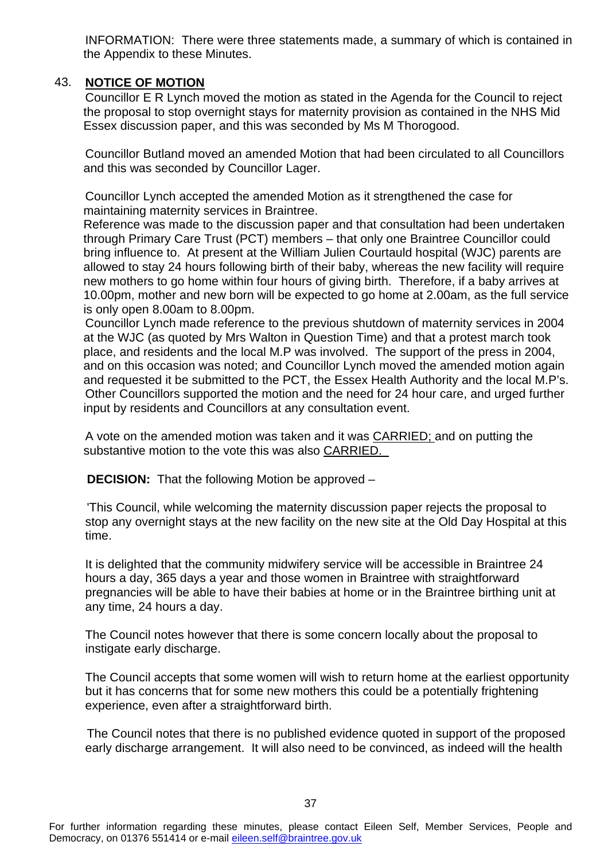INFORMATION: There were three statements made, a summary of which is contained in the Appendix to these Minutes.

#### 43. **NOTICE OF MOTION**

Councillor E R Lynch moved the motion as stated in the Agenda for the Council to reject the proposal to stop overnight stays for maternity provision as contained in the NHS Mid Essex discussion paper, and this was seconded by Ms M Thorogood.

Councillor Butland moved an amended Motion that had been circulated to all Councillors and this was seconded by Councillor Lager.

Councillor Lynch accepted the amended Motion as it strengthened the case for maintaining maternity services in Braintree.

Reference was made to the discussion paper and that consultation had been undertaken through Primary Care Trust (PCT) members – that only one Braintree Councillor could bring influence to. At present at the William Julien Courtauld hospital (WJC) parents are allowed to stay 24 hours following birth of their baby, whereas the new facility will require new mothers to go home within four hours of giving birth. Therefore, if a baby arrives at 10.00pm, mother and new born will be expected to go home at 2.00am, as the full service is only open 8.00am to 8.00pm.

Councillor Lynch made reference to the previous shutdown of maternity services in 2004 at the WJC (as quoted by Mrs Walton in Question Time) and that a protest march took place, and residents and the local M.P was involved. The support of the press in 2004, and on this occasion was noted; and Councillor Lynch moved the amended motion again and requested it be submitted to the PCT, the Essex Health Authority and the local M.P's. Other Councillors supported the motion and the need for 24 hour care, and urged further input by residents and Councillors at any consultation event.

A vote on the amended motion was taken and it was CARRIED; and on putting the substantive motion to the vote this was also CARRIED.

**DECISION:** That the following Motion be approved –

'This Council, while welcoming the maternity discussion paper rejects the proposal to stop any overnight stays at the new facility on the new site at the Old Day Hospital at this time.

It is delighted that the community midwifery service will be accessible in Braintree 24 hours a day, 365 days a year and those women in Braintree with straightforward pregnancies will be able to have their babies at home or in the Braintree birthing unit at any time, 24 hours a day.

The Council notes however that there is some concern locally about the proposal to instigate early discharge.

The Council accepts that some women will wish to return home at the earliest opportunity but it has concerns that for some new mothers this could be a potentially frightening experience, even after a straightforward birth.

The Council notes that there is no published evidence quoted in support of the proposed early discharge arrangement. It will also need to be convinced, as indeed will the health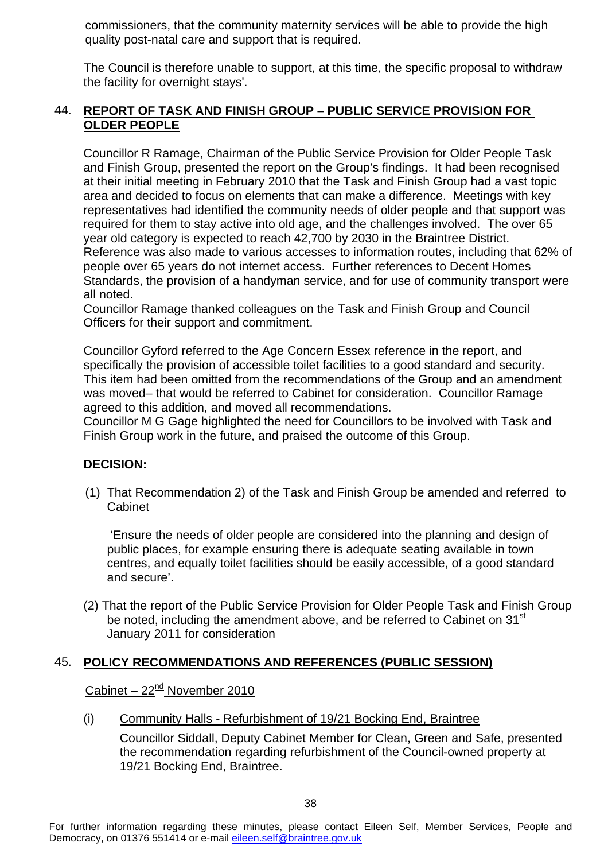commissioners, that the community maternity services will be able to provide the high quality post-natal care and support that is required.

The Council is therefore unable to support, at this time, the specific proposal to withdraw the facility for overnight stays'.

#### 44. **REPORT OF TASK AND FINISH GROUP – PUBLIC SERVICE PROVISION FOR OLDER PEOPLE**

Councillor R Ramage, Chairman of the Public Service Provision for Older People Task and Finish Group, presented the report on the Group's findings. It had been recognised at their initial meeting in February 2010 that the Task and Finish Group had a vast topic area and decided to focus on elements that can make a difference. Meetings with key representatives had identified the community needs of older people and that support was required for them to stay active into old age, and the challenges involved. The over 65 year old category is expected to reach 42,700 by 2030 in the Braintree District. Reference was also made to various accesses to information routes, including that 62% of people over 65 years do not internet access. Further references to Decent Homes Standards, the provision of a handyman service, and for use of community transport were all noted.

Councillor Ramage thanked colleagues on the Task and Finish Group and Council Officers for their support and commitment.

Councillor Gyford referred to the Age Concern Essex reference in the report, and specifically the provision of accessible toilet facilities to a good standard and security. This item had been omitted from the recommendations of the Group and an amendment was moved– that would be referred to Cabinet for consideration. Councillor Ramage agreed to this addition, and moved all recommendations.

Councillor M G Gage highlighted the need for Councillors to be involved with Task and Finish Group work in the future, and praised the outcome of this Group.

#### **DECISION:**

(1) That Recommendation 2) of the Task and Finish Group be amended and referred to Cabinet

 'Ensure the needs of older people are considered into the planning and design of public places, for example ensuring there is adequate seating available in town centres, and equally toilet facilities should be easily accessible, of a good standard and secure'.

(2) That the report of the Public Service Provision for Older People Task and Finish Group be noted, including the amendment above, and be referred to Cabinet on  $31<sup>st</sup>$ January 2011 for consideration

#### 45. **POLICY RECOMMENDATIONS AND REFERENCES (PUBLIC SESSION)**

Cabinet –  $22<sup>nd</sup>$  November 2010

(i) Community Halls - Refurbishment of 19/21 Bocking End, Braintree

Councillor Siddall, Deputy Cabinet Member for Clean, Green and Safe, presented the recommendation regarding refurbishment of the Council-owned property at 19/21 Bocking End, Braintree.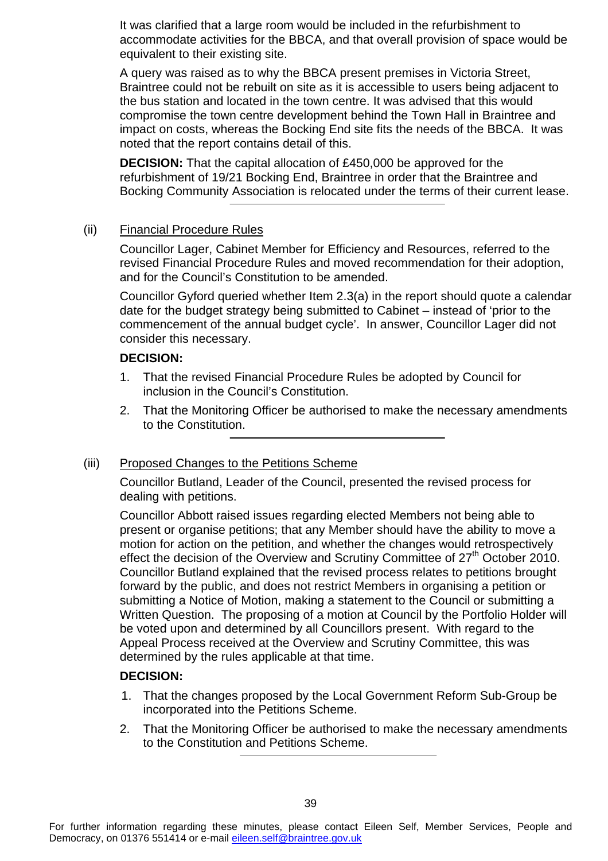It was clarified that a large room would be included in the refurbishment to accommodate activities for the BBCA, and that overall provision of space would be equivalent to their existing site.

A query was raised as to why the BBCA present premises in Victoria Street, Braintree could not be rebuilt on site as it is accessible to users being adjacent to the bus station and located in the town centre. It was advised that this would compromise the town centre development behind the Town Hall in Braintree and impact on costs, whereas the Bocking End site fits the needs of the BBCA. It was noted that the report contains detail of this.

**DECISION:** That the capital allocation of £450,000 be approved for the refurbishment of 19/21 Bocking End, Braintree in order that the Braintree and Bocking Community Association is relocated under the terms of their current lease.

#### (ii) Financial Procedure Rules

Councillor Lager, Cabinet Member for Efficiency and Resources, referred to the revised Financial Procedure Rules and moved recommendation for their adoption, and for the Council's Constitution to be amended.

Councillor Gyford queried whether Item 2.3(a) in the report should quote a calendar date for the budget strategy being submitted to Cabinet – instead of 'prior to the commencement of the annual budget cycle'. In answer, Councillor Lager did not consider this necessary.

#### **DECISION:**

- 1. That the revised Financial Procedure Rules be adopted by Council for inclusion in the Council's Constitution.
- 2. That the Monitoring Officer be authorised to make the necessary amendments to the Constitution.

#### (iii) Proposed Changes to the Petitions Scheme

Councillor Butland, Leader of the Council, presented the revised process for dealing with petitions.

Councillor Abbott raised issues regarding elected Members not being able to present or organise petitions; that any Member should have the ability to move a motion for action on the petition, and whether the changes would retrospectively effect the decision of the Overview and Scrutiny Committee of  $27<sup>th</sup>$  October 2010. Councillor Butland explained that the revised process relates to petitions brought forward by the public, and does not restrict Members in organising a petition or submitting a Notice of Motion, making a statement to the Council or submitting a Written Question. The proposing of a motion at Council by the Portfolio Holder will be voted upon and determined by all Councillors present. With regard to the Appeal Process received at the Overview and Scrutiny Committee, this was determined by the rules applicable at that time.

#### **DECISION:**

- 1. That the changes proposed by the Local Government Reform Sub-Group be incorporated into the Petitions Scheme.
- 2. That the Monitoring Officer be authorised to make the necessary amendments to the Constitution and Petitions Scheme.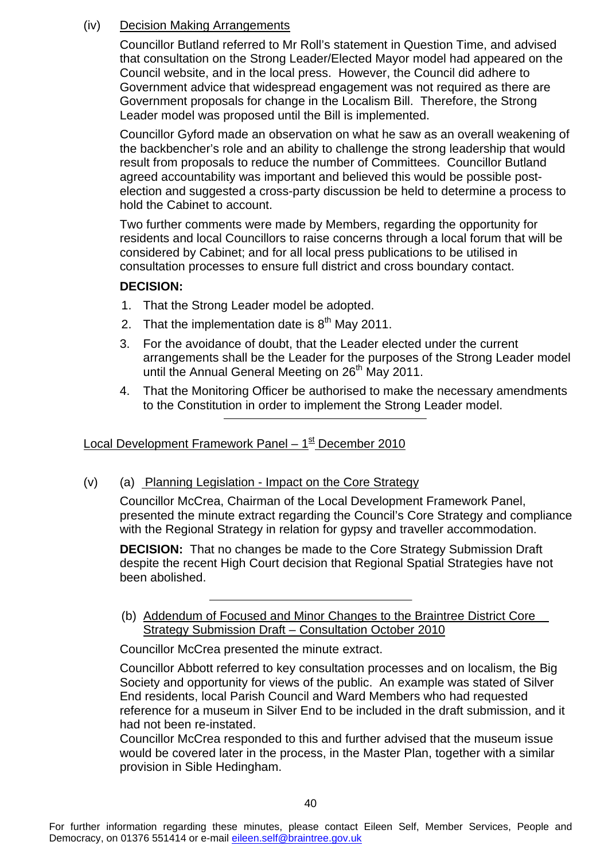#### (iv) Decision Making Arrangements

Councillor Butland referred to Mr Roll's statement in Question Time, and advised that consultation on the Strong Leader/Elected Mayor model had appeared on the Council website, and in the local press. However, the Council did adhere to Government advice that widespread engagement was not required as there are Government proposals for change in the Localism Bill. Therefore, the Strong Leader model was proposed until the Bill is implemented.

Councillor Gyford made an observation on what he saw as an overall weakening of the backbencher's role and an ability to challenge the strong leadership that would result from proposals to reduce the number of Committees. Councillor Butland agreed accountability was important and believed this would be possible postelection and suggested a cross-party discussion be held to determine a process to hold the Cabinet to account.

Two further comments were made by Members, regarding the opportunity for residents and local Councillors to raise concerns through a local forum that will be considered by Cabinet; and for all local press publications to be utilised in consultation processes to ensure full district and cross boundary contact.

#### **DECISION:**

- 1. That the Strong Leader model be adopted.
- 2. That the implementation date is  $8<sup>th</sup>$  May 2011.
- 3. For the avoidance of doubt, that the Leader elected under the current arrangements shall be the Leader for the purposes of the Strong Leader model until the Annual General Meeting on 26<sup>th</sup> May 2011.
- 4. That the Monitoring Officer be authorised to make the necessary amendments to the Constitution in order to implement the Strong Leader model.

Local Development Framework Panel –  $1<sup>st</sup>$  December 2010

(v) (a) Planning Legislation - Impact on the Core Strategy

Councillor McCrea, Chairman of the Local Development Framework Panel, presented the minute extract regarding the Council's Core Strategy and compliance with the Regional Strategy in relation for gypsy and traveller accommodation.

**DECISION:** That no changes be made to the Core Strategy Submission Draft despite the recent High Court decision that Regional Spatial Strategies have not been abolished.

(b) Addendum of Focused and Minor Changes to the Braintree District Core Strategy Submission Draft – Consultation October 2010

Councillor McCrea presented the minute extract.

Councillor Abbott referred to key consultation processes and on localism, the Big Society and opportunity for views of the public. An example was stated of Silver End residents, local Parish Council and Ward Members who had requested reference for a museum in Silver End to be included in the draft submission, and it had not been re-instated.

Councillor McCrea responded to this and further advised that the museum issue would be covered later in the process, in the Master Plan, together with a similar provision in Sible Hedingham.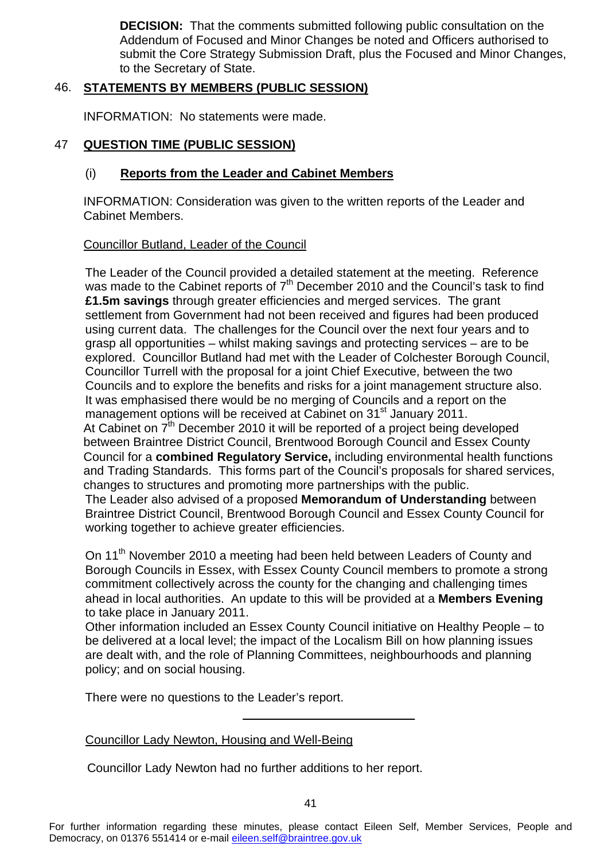**DECISION:** That the comments submitted following public consultation on the Addendum of Focused and Minor Changes be noted and Officers authorised to submit the Core Strategy Submission Draft, plus the Focused and Minor Changes, to the Secretary of State.

#### 46. **STATEMENTS BY MEMBERS (PUBLIC SESSION)**

INFORMATION: No statements were made.

#### 47 **QUESTION TIME (PUBLIC SESSION)**

#### (i) **Reports from the Leader and Cabinet Members**

INFORMATION: Consideration was given to the written reports of the Leader and Cabinet Members.

#### Councillor Butland, Leader of the Council

The Leader of the Council provided a detailed statement at the meeting. Reference was made to the Cabinet reports of  $7<sup>th</sup>$  December 2010 and the Council's task to find **£1.5m savings** through greater efficiencies and merged services. The grant settlement from Government had not been received and figures had been produced using current data. The challenges for the Council over the next four years and to grasp all opportunities – whilst making savings and protecting services – are to be explored. Councillor Butland had met with the Leader of Colchester Borough Council, Councillor Turrell with the proposal for a joint Chief Executive, between the two Councils and to explore the benefits and risks for a joint management structure also. It was emphasised there would be no merging of Councils and a report on the management options will be received at Cabinet on 31<sup>st</sup> January 2011. At Cabinet on  $7<sup>th</sup>$  December 2010 it will be reported of a project being developed between Braintree District Council, Brentwood Borough Council and Essex County Council for a **combined Regulatory Service,** including environmental health functions and Trading Standards. This forms part of the Council's proposals for shared services, changes to structures and promoting more partnerships with the public. The Leader also advised of a proposed **Memorandum of Understanding** between Braintree District Council, Brentwood Borough Council and Essex County Council for working together to achieve greater efficiencies.

On 11<sup>th</sup> November 2010 a meeting had been held between Leaders of County and Borough Councils in Essex, with Essex County Council members to promote a strong commitment collectively across the county for the changing and challenging times ahead in local authorities. An update to this will be provided at a **Members Evening** to take place in January 2011.

Other information included an Essex County Council initiative on Healthy People – to be delivered at a local level; the impact of the Localism Bill on how planning issues are dealt with, and the role of Planning Committees, neighbourhoods and planning policy; and on social housing.

There were no questions to the Leader's report.

#### Councillor Lady Newton, Housing and Well-Being

Councillor Lady Newton had no further additions to her report.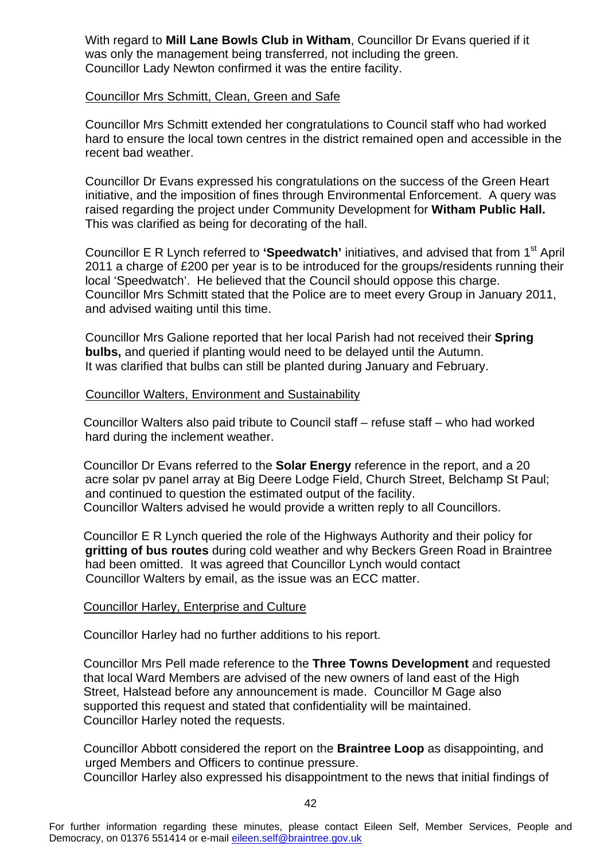With regard to **Mill Lane Bowls Club in Witham**, Councillor Dr Evans queried if it was only the management being transferred, not including the green. Councillor Lady Newton confirmed it was the entire facility.

#### Councillor Mrs Schmitt, Clean, Green and Safe

Councillor Mrs Schmitt extended her congratulations to Council staff who had worked hard to ensure the local town centres in the district remained open and accessible in the recent bad weather.

Councillor Dr Evans expressed his congratulations on the success of the Green Heart initiative, and the imposition of fines through Environmental Enforcement. A query was raised regarding the project under Community Development for **Witham Public Hall.**  This was clarified as being for decorating of the hall.

Councillor E R Lynch referred to **'Speedwatch'** initiatives, and advised that from 1st April 2011 a charge of £200 per year is to be introduced for the groups/residents running their local 'Speedwatch'. He believed that the Council should oppose this charge. Councillor Mrs Schmitt stated that the Police are to meet every Group in January 2011, and advised waiting until this time.

Councillor Mrs Galione reported that her local Parish had not received their **Spring bulbs,** and queried if planting would need to be delayed until the Autumn. It was clarified that bulbs can still be planted during January and February.

#### Councillor Walters, Environment and Sustainability

Councillor Walters also paid tribute to Council staff – refuse staff – who had worked hard during the inclement weather.

Councillor Dr Evans referred to the **Solar Energy** reference in the report, and a 20 acre solar pv panel array at Big Deere Lodge Field, Church Street, Belchamp St Paul; and continued to question the estimated output of the facility. Councillor Walters advised he would provide a written reply to all Councillors.

Councillor E R Lynch queried the role of the Highways Authority and their policy for **gritting of bus routes** during cold weather and why Beckers Green Road in Braintree had been omitted. It was agreed that Councillor Lynch would contact Councillor Walters by email, as the issue was an ECC matter.

#### Councillor Harley, Enterprise and Culture

Councillor Harley had no further additions to his report.

Councillor Mrs Pell made reference to the **Three Towns Development** and requested that local Ward Members are advised of the new owners of land east of the High Street, Halstead before any announcement is made. Councillor M Gage also supported this request and stated that confidentiality will be maintained. Councillor Harley noted the requests.

Councillor Abbott considered the report on the **Braintree Loop** as disappointing, and urged Members and Officers to continue pressure. Councillor Harley also expressed his disappointment to the news that initial findings of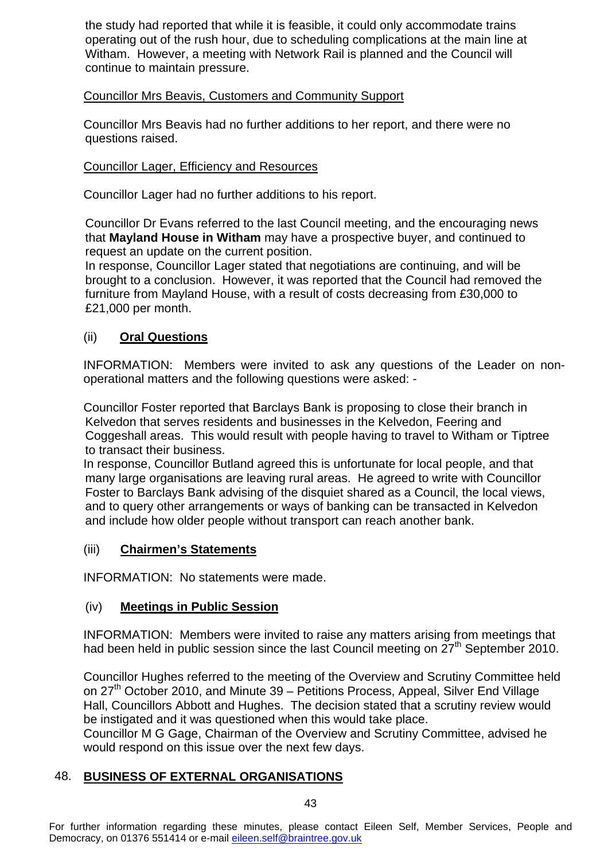the study had reported that while it is feasible, it could only accommodate trains operating out of the rush hour, due to scheduling complications at the main line at Witham. However, a meeting with Network Rail is planned and the Council will continue to maintain pressure.

#### Councillor Mrs Beavis, Customers and Community Support

Councillor Mrs Beavis had no further additions to her report, and there were no questions raised.

#### Councillor Lager, Efficiency and Resources

Councillor Lager had no further additions to his report.

Councillor Dr Evans referred to the last Council meeting, and the encouraging news that **Mayland House in Witham** may have a prospective buyer, and continued to request an update on the current position.

In response, Councillor Lager stated that negotiations are continuing, and will be brought to a conclusion. However, it was reported that the Council had removed the furniture from Mayland House, with a result of costs decreasing from £30,000 to £21,000 per month.

#### (ii) **Oral Questions**

INFORMATION: Members were invited to ask any questions of the Leader on nonoperational matters and the following questions were asked: -

Councillor Foster reported that Barclays Bank is proposing to close their branch in Kelvedon that serves residents and businesses in the Kelvedon, Feering and Coggeshall areas. This would result with people having to travel to Witham or Tiptree to transact their business.

In response, Councillor Butland agreed this is unfortunate for local people, and that many large organisations are leaving rural areas. He agreed to write with Councillor Foster to Barclays Bank advising of the disquiet shared as a Council, the local views, and to query other arrangements or ways of banking can be transacted in Kelvedon and include how older people without transport can reach another bank.

# (iii) **Chairmen's Statements**

INFORMATION: No statements were made.

#### (iv) **Meetings in Public Session**

INFORMATION: Members were invited to raise any matters arising from meetings that had been held in public session since the last Council meeting on  $27<sup>th</sup>$  September 2010.

Councillor Hughes referred to the meeting of the Overview and Scrutiny Committee held on 27<sup>th</sup> October 2010, and Minute 39 – Petitions Process, Appeal, Silver End Village Hall, Councillors Abbott and Hughes. The decision stated that a scrutiny review would be instigated and it was questioned when this would take place.

Councillor M G Gage, Chairman of the Overview and Scrutiny Committee, advised he would respond on this issue over the next few days.

# 48. **BUSINESS OF EXTERNAL ORGANISATIONS**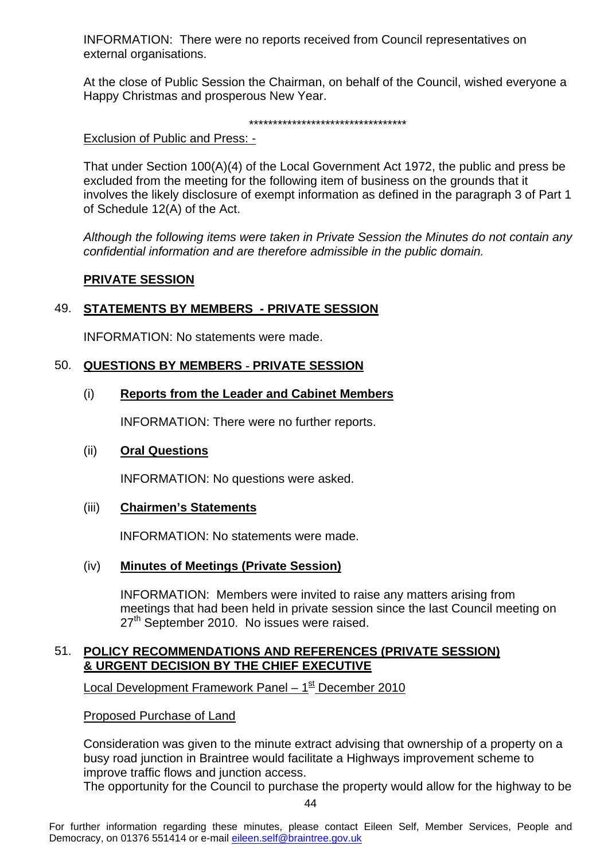INFORMATION: There were no reports received from Council representatives on external organisations.

At the close of Public Session the Chairman, on behalf of the Council, wished everyone a Happy Christmas and prosperous New Year.

#### \*\*\*\*\*\*\*\*\*\*\*\*\*\*\*\*\*\*\*\*\*\*\*\*\*\*\*\*\*\*\*\*\*

Exclusion of Public and Press: -

That under Section 100(A)(4) of the Local Government Act 1972, the public and press be excluded from the meeting for the following item of business on the grounds that it involves the likely disclosure of exempt information as defined in the paragraph 3 of Part 1 of Schedule 12(A) of the Act.

*Although the following items were taken in Private Session the Minutes do not contain any confidential information and are therefore admissible in the public domain.* 

#### **PRIVATE SESSION**

#### 49. **STATEMENTS BY MEMBERS - PRIVATE SESSION**

INFORMATION: No statements were made.

#### 50. **QUESTIONS BY MEMBERS - PRIVATE SESSION**

#### (i) **Reports from the Leader and Cabinet Members**

INFORMATION: There were no further reports.

#### (ii) **Oral Questions**

INFORMATION: No questions were asked.

#### (iii) **Chairmen's Statements**

INFORMATION: No statements were made.

#### (iv) **Minutes of Meetings (Private Session)**

INFORMATION: Members were invited to raise any matters arising from meetings that had been held in private session since the last Council meeting on 27<sup>th</sup> September 2010. No issues were raised.

#### 51. **POLICY RECOMMENDATIONS AND REFERENCES (PRIVATE SESSION) & URGENT DECISION BY THE CHIEF EXECUTIVE**

Local Development Framework Panel –  $1<sup>st</sup>$  December 2010

Proposed Purchase of Land

Consideration was given to the minute extract advising that ownership of a property on a busy road junction in Braintree would facilitate a Highways improvement scheme to improve traffic flows and junction access.

The opportunity for the Council to purchase the property would allow for the highway to be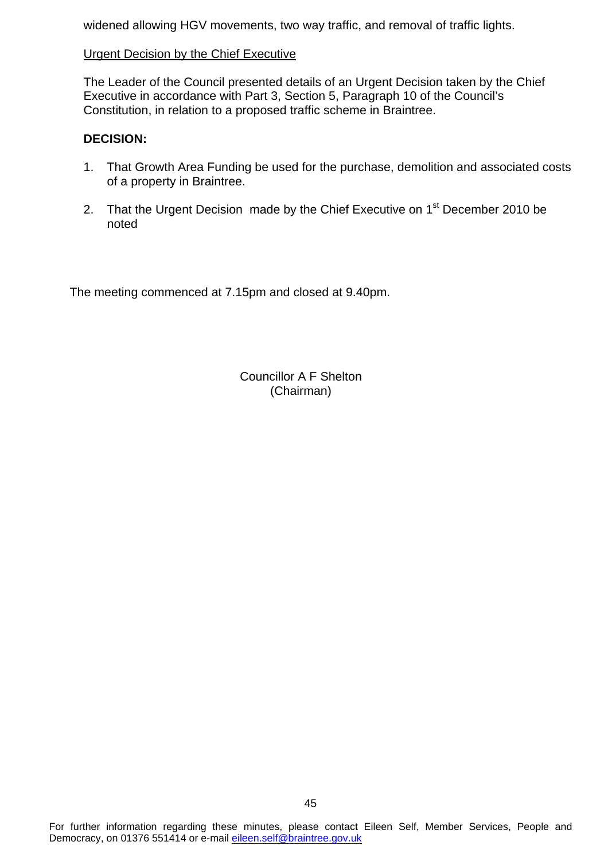widened allowing HGV movements, two way traffic, and removal of traffic lights.

#### Urgent Decision by the Chief Executive

The Leader of the Council presented details of an Urgent Decision taken by the Chief Executive in accordance with Part 3, Section 5, Paragraph 10 of the Council's Constitution, in relation to a proposed traffic scheme in Braintree.

#### **DECISION:**

- 1. That Growth Area Funding be used for the purchase, demolition and associated costs of a property in Braintree.
- 2. That the Urgent Decision made by the Chief Executive on 1<sup>st</sup> December 2010 be noted

The meeting commenced at 7.15pm and closed at 9.40pm.

Councillor A F Shelton (Chairman)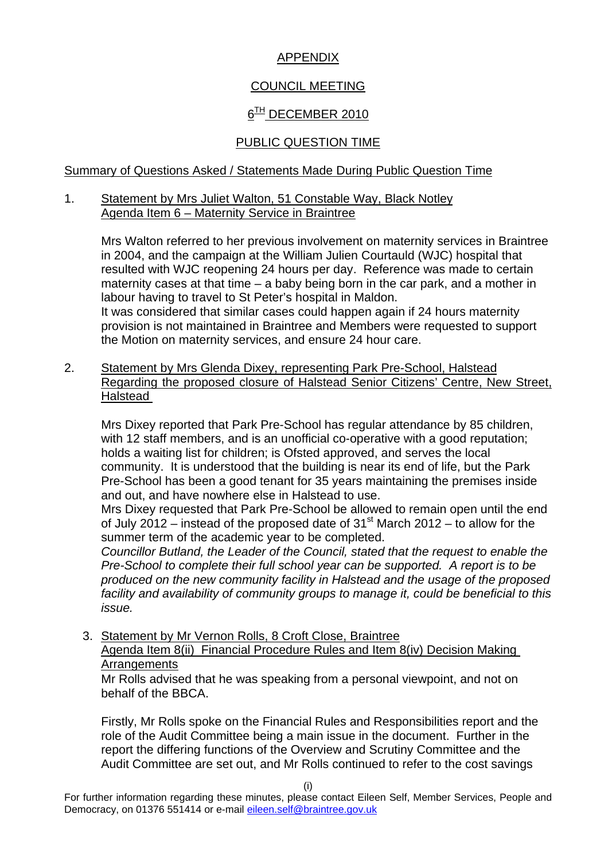# APPENDIX

# COUNCIL MEETING

# $6<sup>TH</sup>$  DECEMBER 2010

# PUBLIC QUESTION TIME

#### Summary of Questions Asked / Statements Made During Public Question Time

#### 1. Statement by Mrs Juliet Walton, 51 Constable Way, Black Notley Agenda Item 6 – Maternity Service in Braintree

 Mrs Walton referred to her previous involvement on maternity services in Braintree in 2004, and the campaign at the William Julien Courtauld (WJC) hospital that resulted with WJC reopening 24 hours per day. Reference was made to certain maternity cases at that time – a baby being born in the car park, and a mother in labour having to travel to St Peter's hospital in Maldon. It was considered that similar cases could happen again if 24 hours maternity provision is not maintained in Braintree and Members were requested to support the Motion on maternity services, and ensure 24 hour care.

2. Statement by Mrs Glenda Dixey, representing Park Pre-School, Halstead Regarding the proposed closure of Halstead Senior Citizens' Centre, New Street, Halstead

Mrs Dixey reported that Park Pre-School has regular attendance by 85 children, with 12 staff members, and is an unofficial co-operative with a good reputation; holds a waiting list for children; is Ofsted approved, and serves the local community. It is understood that the building is near its end of life, but the Park Pre-School has been a good tenant for 35 years maintaining the premises inside and out, and have nowhere else in Halstead to use.

Mrs Dixey requested that Park Pre-School be allowed to remain open until the end of July 2012 – instead of the proposed date of  $31<sup>st</sup>$  March 2012 – to allow for the summer term of the academic year to be completed.

*Councillor Butland, the Leader of the Council, stated that the request to enable the Pre-School to complete their full school year can be supported. A report is to be produced on the new community facility in Halstead and the usage of the proposed facility and availability of community groups to manage it, could be beneficial to this issue.* 

3. Statement by Mr Vernon Rolls, 8 Croft Close, Braintree Agenda Item 8(ii) Financial Procedure Rules and Item 8(iv) Decision Making **Arrangements** 

 Mr Rolls advised that he was speaking from a personal viewpoint, and not on behalf of the BBCA.

 Firstly, Mr Rolls spoke on the Financial Rules and Responsibilities report and the role of the Audit Committee being a main issue in the document. Further in the report the differing functions of the Overview and Scrutiny Committee and the Audit Committee are set out, and Mr Rolls continued to refer to the cost savings